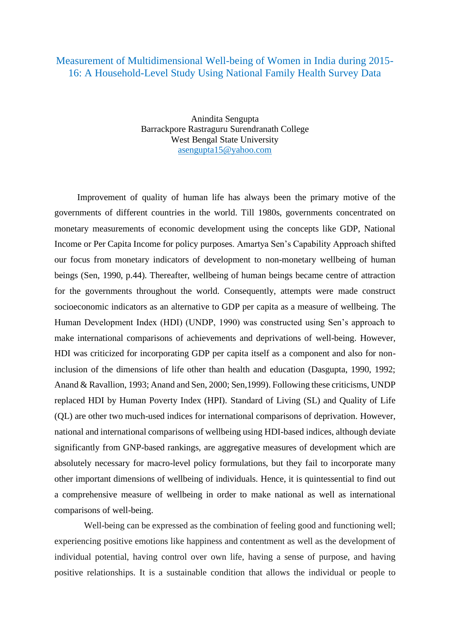## Measurement of Multidimensional Well-being of Women in India during 2015- 16: A Household-Level Study Using National Family Health Survey Data

Anindita Sengupta Barrackpore Rastraguru Surendranath College West Bengal State University [asengupta15@yahoo.com](mailto:asengupta15@yahoo.com)

 Improvement of quality of human life has always been the primary motive of the governments of different countries in the world. Till 1980s, governments concentrated on monetary measurements of economic development using the concepts like GDP, National Income or Per Capita Income for policy purposes. Amartya Sen's Capability Approach shifted our focus from monetary indicators of development to non-monetary wellbeing of human beings (Sen, 1990, p.44). Thereafter, wellbeing of human beings became centre of attraction for the governments throughout the world. Consequently, attempts were made construct socioeconomic indicators as an alternative to GDP per capita as a measure of wellbeing. The Human Development Index (HDI) (UNDP, 1990) was constructed using Sen's approach to make international comparisons of achievements and deprivations of well-being. However, HDI was criticized for incorporating GDP per capita itself as a component and also for noninclusion of the dimensions of life other than health and education (Dasgupta, 1990, 1992; Anand & Ravallion, 1993; Anand and Sen, 2000; Sen,1999). Following these criticisms, UNDP replaced HDI by Human Poverty Index (HPI). Standard of Living (SL) and Quality of Life (QL) are other two much-used indices for international comparisons of deprivation. However, national and international comparisons of wellbeing using HDI-based indices, although deviate significantly from GNP-based rankings, are aggregative measures of development which are absolutely necessary for macro-level policy formulations, but they fail to incorporate many other important dimensions of wellbeing of individuals. Hence, it is quintessential to find out a comprehensive measure of wellbeing in order to make national as well as international comparisons of well-being.

Well-being can be expressed as the combination of feeling good and functioning well: experiencing positive emotions like happiness and contentment as well as the development of individual potential, having control over own life, having a sense of purpose, and having positive relationships. It is a sustainable condition that allows the individual or people to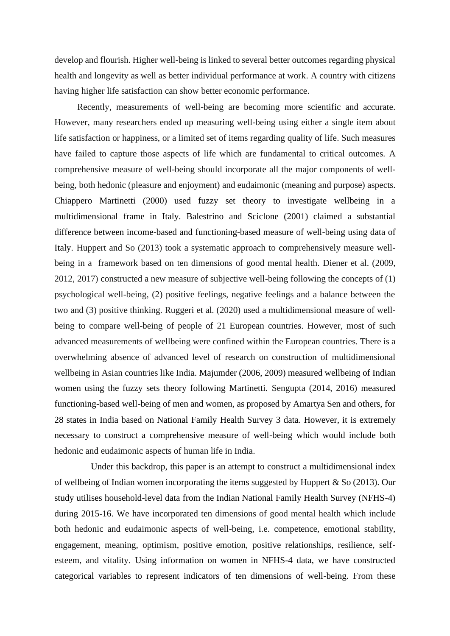develop and flourish. Higher well-being is linked to several better outcomes regarding physical health and longevity as well as better individual performance at work. A country with citizens having higher life satisfaction can show better economic performance.

 Recently, measurements of well-being are becoming more scientific and accurate. However, many researchers ended up measuring well-being using either a single item about life satisfaction or happiness, or a limited set of items regarding quality of life. Such measures have failed to capture those aspects of life which are fundamental to critical outcomes. A comprehensive measure of well-being should incorporate all the major components of wellbeing, both hedonic (pleasure and enjoyment) and eudaimonic (meaning and purpose) aspects. Chiappero Martinetti (2000) used fuzzy set theory to investigate wellbeing in a multidimensional frame in Italy. Balestrino and Sciclone (2001) claimed a substantial difference between income-based and functioning-based measure of well-being using data of Italy. Huppert and So (2013) took a systematic approach to comprehensively measure wellbeing in a framework based on ten dimensions of good mental health. Diener et al. (2009, 2012, 2017) constructed a new measure of subjective well-being following the concepts of (1) psychological well-being, (2) positive feelings, negative feelings and a balance between the two and (3) positive thinking. Ruggeri et al. (2020) used a multidimensional measure of wellbeing to compare well-being of people of 21 European countries. However, most of such advanced measurements of wellbeing were confined within the European countries. There is a overwhelming absence of advanced level of research on construction of multidimensional wellbeing in Asian countries like India. Majumder (2006, 2009) measured wellbeing of Indian women using the fuzzy sets theory following Martinetti. Sengupta (2014, 2016) measured functioning-based well-being of men and women, as proposed by Amartya Sen and others, for 28 states in India based on National Family Health Survey 3 data. However, it is extremely necessary to construct a comprehensive measure of well-being which would include both hedonic and eudaimonic aspects of human life in India.

 Under this backdrop, this paper is an attempt to construct a multidimensional index of wellbeing of Indian women incorporating the items suggested by Huppert & So (2013). Our study utilises household-level data from the Indian National Family Health Survey (NFHS-4) during 2015-16. We have incorporated ten dimensions of good mental health which include both hedonic and eudaimonic aspects of well-being, i.e. competence, emotional stability, engagement, meaning, optimism, positive emotion, positive relationships, resilience, selfesteem, and vitality. Using information on women in NFHS-4 data, we have constructed categorical variables to represent indicators of ten dimensions of well-being. From these